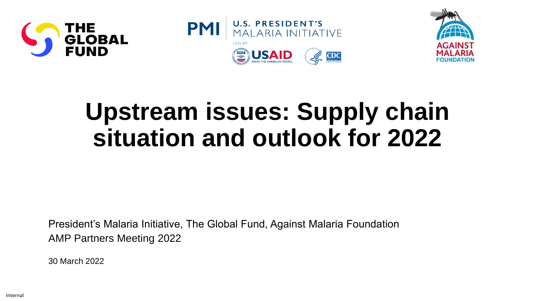





# **Upstream issues: Supply chain situation and outlook for 2022**

President's Malaria Initiative, The Global Fund, Against Malaria Foundation AMP Partners Meeting 2022

30 March 2022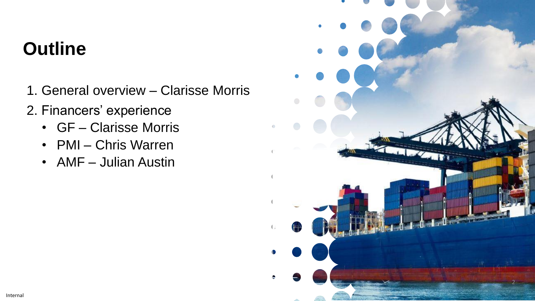# **Outline**

- 1. General overview Clarisse Morris
- 2. Financers' experience
	- GF Clarisse Morris
	- PMI Chris Warren
	- AMF Julian Austin

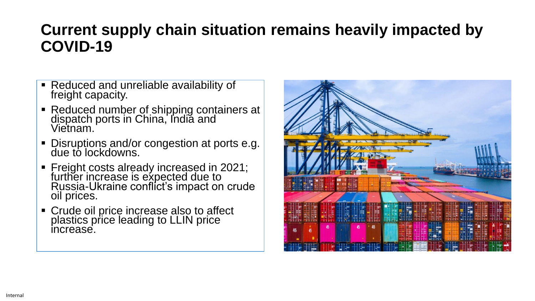# **Current supply chain situation remains heavily impacted by COVID-19**

- Reduced and unreliable availability of freight capacity.
- Reduced number of shipping containers at dispatch ports in China, Indiă and Vietnam.
- **Disruptions and/or congestion at ports e.g.** due to lockdowns.
- Freight costs already increased in 2021; further increase is expected due to Russia-Ukraine conflict's impact on crude oil prices.
- Crude oil price increase also to affect plastics price leading to LLIN price increase.

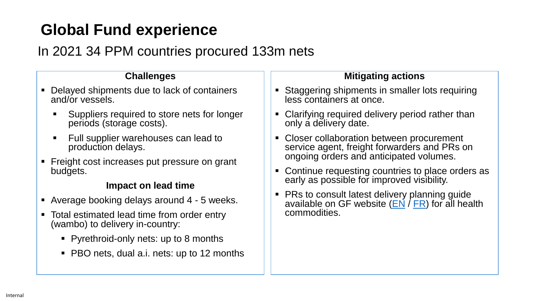# **Global Fund experience**

# In 2021 34 PPM countries procured 133m nets

#### **Challenges**

- Delayed shipments due to lack of containers and/or vessels.
	- Suppliers required to store nets for longer periods (storage costs).
	- Full supplier warehouses can lead to production delays.
- Freight cost increases put pressure on grant budgets.

#### **Impact on lead time**

- Average booking delays around 4 5 weeks.
- Total estimated lead time from order entry (wambo) to delivery in-country:
	- Pyrethroid-only nets: up to 8 months
	- PBO nets, dual a.i. nets: up to 12 months

#### **Mitigating actions**

- **Staggering shipments in smaller lots requiring** less containers at once.
- Clarifying required delivery period rather than only a delivery date.
- Closer collaboration between procurement service agent, freight forwarders and PRs on ongoing orders and anticipated volumes.
- Continue requesting countries to place orders as early as possible for improved visibility.
- **PRs to consult latest delivery planning guide** available on GF website  $(EN / FR)$  $(EN / FR)$  $(EN / FR)$  $(EN / FR)$  $(EN / FR)$  for all health commodities.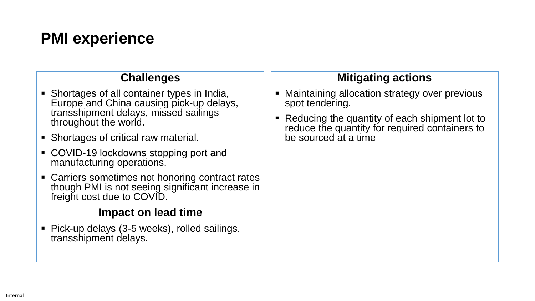# **PMI experience**

#### **Challenges**

- Shortages of all container types in India, Europe and China causing pick-up delays, transshipment delays, missed sailings throughout the world.
- Shortages of critical raw material.
- COVID-19 lockdowns stopping port and manufacturing operations.
- **EXEC** Carriers sometimes not honoring contract rates though PMI is not seeing significant increase in freight cost due to COVID.

### **Impact on lead time**

■ Pick-up delays (3-5 weeks), rolled sailings, transshipment delays.

## **Mitigating actions**

- Maintaining allocation strategy over previous spot tendering.
- Reducing the quantity of each shipment lot to reduce the quantity for required containers to be sourced at a time